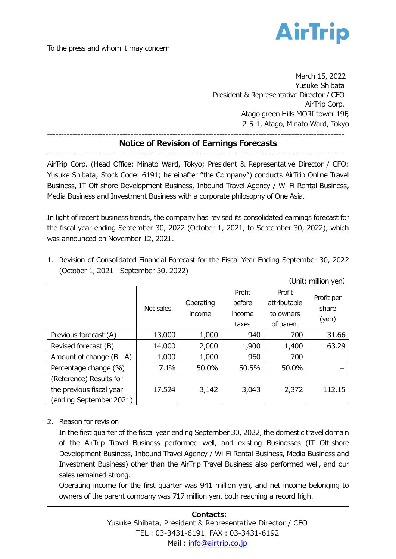

March 15, 2022 Yusuke Shibata President & Representative Director / CFO AirTrip Corp. Atago green Hills MORI tower 19F, 2-5-1, Atago, Minato Ward, Tokyo

----------------------------------------------------------------------------------------------------------- **Notice of Revision of Earnings Forecasts**

-----------------------------------------------------------------------------------------------------------

AirTrip Corp. (Head Office: Minato Ward, Tokyo; President & Representative Director / CFO: Yusuke Shibata; Stock Code: 6191; hereinafter "the Company") conducts AirTrip Online Travel Business, IT Off-shore Development Business, Inbound Travel Agency / Wi-Fi Rental Business, Media Business and Investment Business with a corporate philosophy of One Asia.

In light of recent business trends, the company has revised its consolidated earnings forecast for the fiscal year ending September 30, 2022 (October 1, 2021, to September 30, 2022), which was announced on November 12, 2021.

| (Unit: million yen)                                 |           |                     |                                     |                                                  |                              |
|-----------------------------------------------------|-----------|---------------------|-------------------------------------|--------------------------------------------------|------------------------------|
|                                                     | Net sales | Operating<br>income | Profit<br>before<br>income<br>taxes | Profit<br>attributable<br>to owners<br>of parent | Profit per<br>share<br>(yen) |
| Previous forecast (A)                               | 13,000    | 1,000               | 940                                 | 700                                              | 31.66                        |
| Revised forecast (B)                                | 14,000    | 2,000               | 1,900                               | 1,400                                            | 63.29                        |
| Amount of change $(B-A)$                            | 1,000     | 1,000               | 960                                 | 700                                              |                              |
| Percentage change (%)                               | 7.1%      | 50.0%               | 50.5%                               | 50.0%                                            |                              |
| (Reference) Results for<br>the previous fiscal year | 17,524    | 3,142               | 3,043                               | 2,372                                            | 112.15                       |
| (ending September 2021)                             |           |                     |                                     |                                                  |                              |

1. Revision of Consolidated Financial Forecast for the Fiscal Year Ending September 30, 2022 (October 1, 2021 - September 30, 2022)

2. Reason for revision

In the first quarter of the fiscal year ending September 30, 2022, the domestic travel domain of the AirTrip Travel Business performed well, and existing Businesses (IT Off-shore Development Business, Inbound Travel Agency / Wi-Fi Rental Business, Media Business and Investment Business) other than the AirTrip Travel Business also performed well, and our sales remained strong.

Operating income for the first quarter was 941 million yen, and net income belonging to owners of the parent company was 717 million yen, both reaching a record high.